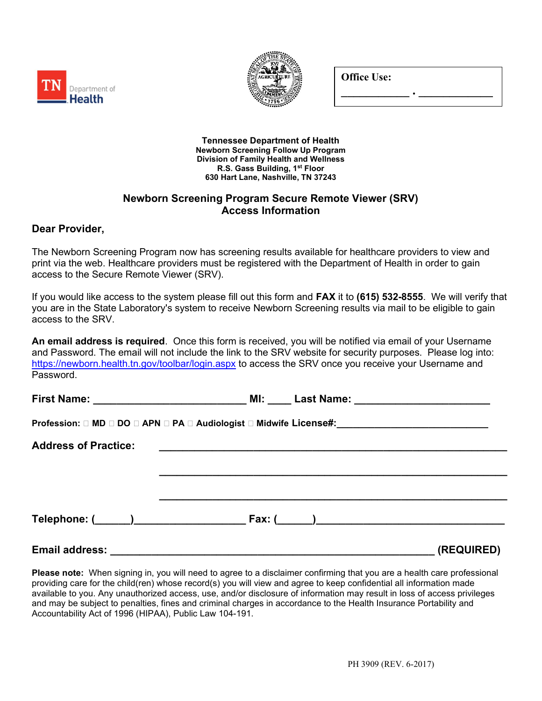



Office Use:

\_\_\_\_\_\_\_\_\_\_\_ . \_\_\_\_\_\_\_\_\_\_\_\_

Tennessee Department of Health Newborn Screening Follow Up Program Division of Family Health and Wellness R.S. Gass Building, 1st Floor 630 Hart Lane, Nashville, TN 37243

## Newborn Screening Program Secure Remote Viewer (SRV) Access Information

# Dear Provider,

The Newborn Screening Program now has screening results available for healthcare providers to view and print via the web. Healthcare providers must be registered with the Department of Health in order to gain access to the Secure Remote Viewer (SRV).

If you would like access to the system please fill out this form and FAX it to (615) 532-8555. We will verify that you are in the State Laboratory's system to receive Newborn Screening results via mail to be eligible to gain access to the SRV.

An email address is required. Once this form is received, you will be notified via email of your Username and Password. The email will not include the link to the SRV website for security purposes. Please log into: https://newborn.health.tn.gov/toolbar/login.aspx to access the SRV once you receive your Username and Password.

|                             | Profession: □ MD □ DO □ APN □ PA □ Audiologist □ Midwife License#:______________________ |            |
|-----------------------------|------------------------------------------------------------------------------------------|------------|
| <b>Address of Practice:</b> |                                                                                          |            |
|                             |                                                                                          |            |
|                             |                                                                                          |            |
|                             |                                                                                          |            |
| <b>Email address:</b>       |                                                                                          | (REQUIRED) |

Please note: When signing in, you will need to agree to a disclaimer confirming that you are a health care professional providing care for the child(ren) whose record(s) you will view and agree to keep confidential all information made available to you. Any unauthorized access, use, and/or disclosure of information may result in loss of access privileges and may be subject to penalties, fines and criminal charges in accordance to the Health Insurance Portability and Accountability Act of 1996 (HIPAA), Public Law 104-191.